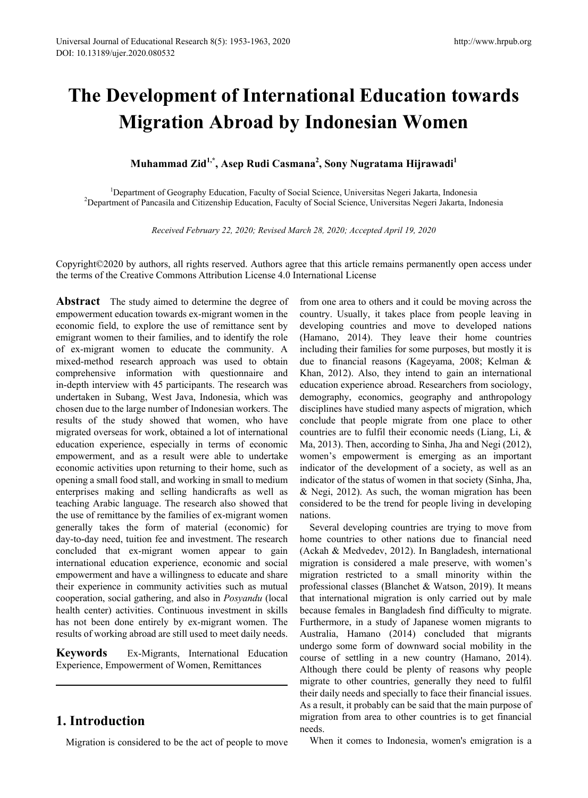## **The Development of International Education towards Migration Abroad by Indonesian Women**

## Muhammad Zid<sup>1,\*</sup>, Asep Rudi Casmana<sup>2</sup>, Sony Nugratama Hijrawadi<sup>1</sup>

<sup>1</sup>Department of Geography Education, Faculty of Social Science, Universitas Negeri Jakarta, Indonesia<br><sup>2</sup>Department of Pancasila and Citizenship Education, Faculty of Social Science, Universitas Negeri Jakarta, Ind <sup>2</sup>Department of Pancasila and Citizenship Education, Faculty of Social Science, Universitas Negeri Jakarta, Indonesia

*Received February 22, 2020; Revised March 28, 2020; Accepted April 19, 2020*

Copyright©2020 by authors, all rights reserved. Authors agree that this article remains permanently open access under the terms of the Creative Commons Attribution License 4.0 International License

**Abstract** The study aimed to determine the degree of empowerment education towards ex-migrant women in the economic field, to explore the use of remittance sent by emigrant women to their families, and to identify the role of ex-migrant women to educate the community. A mixed-method research approach was used to obtain comprehensive information with questionnaire and in-depth interview with 45 participants. The research was undertaken in Subang, West Java, Indonesia, which was chosen due to the large number of Indonesian workers. The results of the study showed that women, who have migrated overseas for work, obtained a lot of international education experience, especially in terms of economic empowerment, and as a result were able to undertake economic activities upon returning to their home, such as opening a small food stall, and working in small to medium enterprises making and selling handicrafts as well as teaching Arabic language. The research also showed that the use of remittance by the families of ex-migrant women generally takes the form of material (economic) for day-to-day need, tuition fee and investment. The research concluded that ex-migrant women appear to gain international education experience, economic and social empowerment and have a willingness to educate and share their experience in community activities such as mutual cooperation, social gathering, and also in *Posyandu* (local health center) activities. Continuous investment in skills has not been done entirely by ex-migrant women. The results of working abroad are still used to meet daily needs.

**Keywords** Ex-Migrants, International Education Experience, Empowerment of Women, Remittances

## **1. Introduction**

Migration is considered to be the act of people to move

from one area to others and it could be moving across the country. Usually, it takes place from people leaving in developing countries and move to developed nations (Hamano, 2014). They leave their home countries including their families for some purposes, but mostly it is due to financial reasons (Kageyama, 2008; Kelman & Khan, 2012). Also, they intend to gain an international education experience abroad. Researchers from sociology, demography, economics, geography and anthropology disciplines have studied many aspects of migration, which conclude that people migrate from one place to other countries are to fulfil their economic needs (Liang, Li, & Ma, 2013). Then, according to Sinha, Jha and Negi (2012), women's empowerment is emerging as an important indicator of the development of a society, as well as an indicator of the status of women in that society (Sinha, Jha, & Negi, 2012). As such, the woman migration has been considered to be the trend for people living in developing nations.

Several developing countries are trying to move from home countries to other nations due to financial need (Ackah & Medvedev, 2012). In Bangladesh, international migration is considered a male preserve, with women's migration restricted to a small minority within the professional classes (Blanchet & Watson, 2019). It means that international migration is only carried out by male because females in Bangladesh find difficulty to migrate. Furthermore, in a study of Japanese women migrants to Australia, Hamano (2014) concluded that migrants undergo some form of downward social mobility in the course of settling in a new country (Hamano, 2014). Although there could be plenty of reasons why people migrate to other countries, generally they need to fulfil their daily needs and specially to face their financial issues. As a result, it probably can be said that the main purpose of migration from area to other countries is to get financial needs.

When it comes to Indonesia, women's emigration is a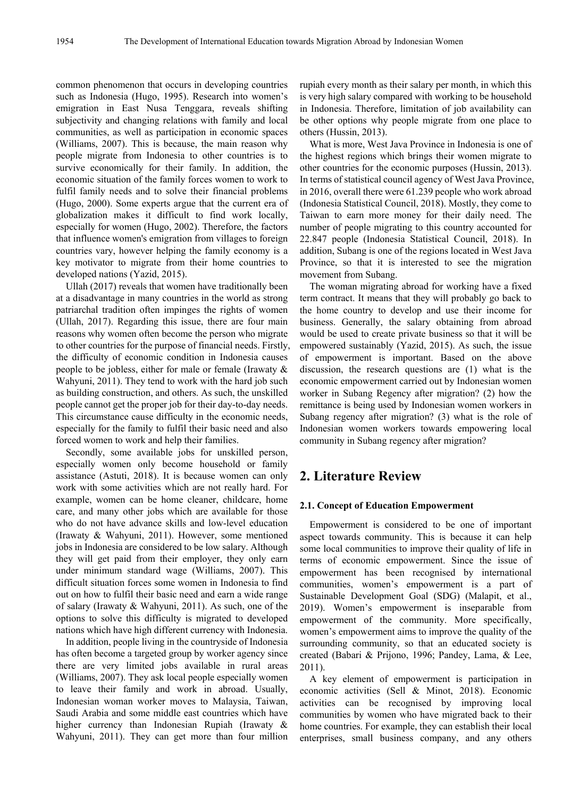common phenomenon that occurs in developing countries such as Indonesia (Hugo, 1995). Research into women's emigration in East Nusa Tenggara, reveals shifting subjectivity and changing relations with family and local communities, as well as participation in economic spaces (Williams, 2007). This is because, the main reason why people migrate from Indonesia to other countries is to survive economically for their family. In addition, the economic situation of the family forces women to work to fulfil family needs and to solve their financial problems (Hugo, 2000). Some experts argue that the current era of globalization makes it difficult to find work locally, especially for women (Hugo, 2002). Therefore, the factors that influence women's emigration from villages to foreign countries vary, however helping the family economy is a key motivator to migrate from their home countries to developed nations (Yazid, 2015).

Ullah (2017) reveals that women have traditionally been at a disadvantage in many countries in the world as strong patriarchal tradition often impinges the rights of women (Ullah, 2017). Regarding this issue, there are four main reasons why women often become the person who migrate to other countries for the purpose of financial needs. Firstly, the difficulty of economic condition in Indonesia causes people to be jobless, either for male or female (Irawaty & Wahyuni, 2011). They tend to work with the hard job such as building construction, and others. As such, the unskilled people cannot get the proper job for their day-to-day needs. This circumstance cause difficulty in the economic needs, especially for the family to fulfil their basic need and also forced women to work and help their families.

Secondly, some available jobs for unskilled person, especially women only become household or family assistance (Astuti, 2018). It is because women can only work with some activities which are not really hard. For example, women can be home cleaner, childcare, home care, and many other jobs which are available for those who do not have advance skills and low-level education (Irawaty & Wahyuni, 2011). However, some mentioned jobs in Indonesia are considered to be low salary. Although they will get paid from their employer, they only earn under minimum standard wage (Williams, 2007). This difficult situation forces some women in Indonesia to find out on how to fulfil their basic need and earn a wide range of salary (Irawaty & Wahyuni, 2011). As such, one of the options to solve this difficulty is migrated to developed nations which have high different currency with Indonesia.

In addition, people living in the countryside of Indonesia has often become a targeted group by worker agency since there are very limited jobs available in rural areas (Williams, 2007). They ask local people especially women to leave their family and work in abroad. Usually, Indonesian woman worker moves to Malaysia, Taiwan, Saudi Arabia and some middle east countries which have higher currency than Indonesian Rupiah (Irawaty & Wahyuni, 2011). They can get more than four million

rupiah every month as their salary per month, in which this is very high salary compared with working to be household in Indonesia. Therefore, limitation of job availability can be other options why people migrate from one place to others (Hussin, 2013).

What is more, West Java Province in Indonesia is one of the highest regions which brings their women migrate to other countries for the economic purposes (Hussin, 2013). In terms of statistical council agency of West Java Province, in 2016, overall there were 61.239 people who work abroad (Indonesia Statistical Council, 2018). Mostly, they come to Taiwan to earn more money for their daily need. The number of people migrating to this country accounted for 22.847 people (Indonesia Statistical Council, 2018). In addition, Subang is one of the regions located in West Java Province, so that it is interested to see the migration movement from Subang.

The woman migrating abroad for working have a fixed term contract. It means that they will probably go back to the home country to develop and use their income for business. Generally, the salary obtaining from abroad would be used to create private business so that it will be empowered sustainably (Yazid, 2015). As such, the issue of empowerment is important. Based on the above discussion, the research questions are (1) what is the economic empowerment carried out by Indonesian women worker in Subang Regency after migration? (2) how the remittance is being used by Indonesian women workers in Subang regency after migration? (3) what is the role of Indonesian women workers towards empowering local community in Subang regency after migration?

## **2. Literature Review**

#### **2.1. Concept of Education Empowerment**

Empowerment is considered to be one of important aspect towards community. This is because it can help some local communities to improve their quality of life in terms of economic empowerment. Since the issue of empowerment has been recognised by international communities, women's empowerment is a part of Sustainable Development Goal (SDG) (Malapit, et al., 2019). Women's empowerment is inseparable from empowerment of the community. More specifically, women's empowerment aims to improve the quality of the surrounding community, so that an educated society is created (Babari & Prijono, 1996; Pandey, Lama, & Lee, 2011).

A key element of empowerment is participation in economic activities (Sell & Minot, 2018). Economic activities can be recognised by improving local communities by women who have migrated back to their home countries. For example, they can establish their local enterprises, small business company, and any others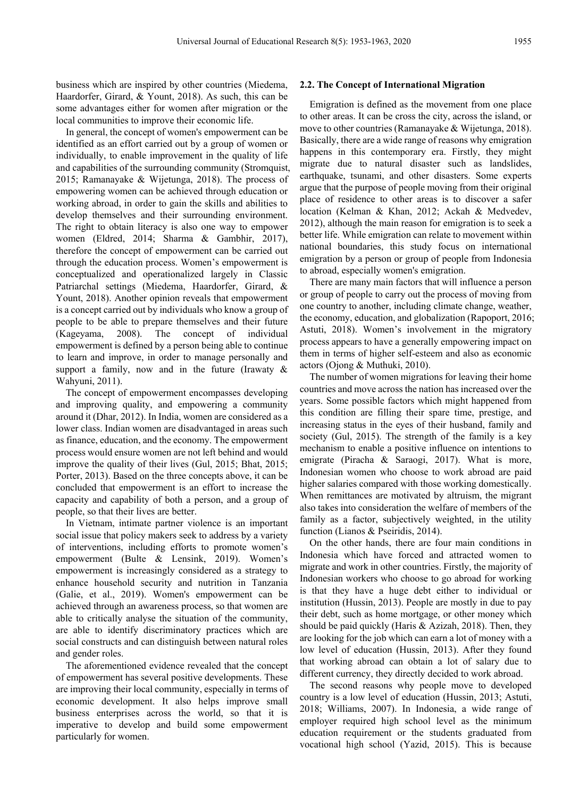business which are inspired by other countries (Miedema, Haardorfer, Girard, & Yount, 2018). As such, this can be some advantages either for women after migration or the local communities to improve their economic life.

In general, the concept of women's empowerment can be identified as an effort carried out by a group of women or individually, to enable improvement in the quality of life and capabilities of the surrounding community (Stromquist, 2015; Ramanayake & Wijetunga, 2018). The process of empowering women can be achieved through education or working abroad, in order to gain the skills and abilities to develop themselves and their surrounding environment. The right to obtain literacy is also one way to empower women (Eldred, 2014; Sharma & Gambhir, 2017), therefore the concept of empowerment can be carried out through the education process. Women's empowerment is conceptualized and operationalized largely in Classic Patriarchal settings (Miedema, Haardorfer, Girard, & Yount, 2018). Another opinion reveals that empowerment is a concept carried out by individuals who know a group of people to be able to prepare themselves and their future (Kageyama, 2008). The concept of individual empowerment is defined by a person being able to continue to learn and improve, in order to manage personally and support a family, now and in the future (Irawaty  $\&$ Wahyuni, 2011).

The concept of empowerment encompasses developing and improving quality, and empowering a community around it (Dhar, 2012). In India, women are considered as a lower class. Indian women are disadvantaged in areas such as finance, education, and the economy. The empowerment process would ensure women are not left behind and would improve the quality of their lives (Gul, 2015; Bhat, 2015; Porter, 2013). Based on the three concepts above, it can be concluded that empowerment is an effort to increase the capacity and capability of both a person, and a group of people, so that their lives are better.

In Vietnam, intimate partner violence is an important social issue that policy makers seek to address by a variety of interventions, including efforts to promote women's empowerment (Bulte & Lensink, 2019). Women's empowerment is increasingly considered as a strategy to enhance household security and nutrition in Tanzania (Galie, et al., 2019). Women's empowerment can be achieved through an awareness process, so that women are able to critically analyse the situation of the community, are able to identify discriminatory practices which are social constructs and can distinguish between natural roles and gender roles.

The aforementioned evidence revealed that the concept of empowerment has several positive developments. These are improving their local community, especially in terms of economic development. It also helps improve small business enterprises across the world, so that it is imperative to develop and build some empowerment particularly for women.

#### **2.2. The Concept of International Migration**

Emigration is defined as the movement from one place to other areas. It can be cross the city, across the island, or move to other countries (Ramanayake & Wijetunga, 2018). Basically, there are a wide range of reasons why emigration happens in this contemporary era. Firstly, they might migrate due to natural disaster such as landslides, earthquake, tsunami, and other disasters. Some experts argue that the purpose of people moving from their original place of residence to other areas is to discover a safer location (Kelman & Khan, 2012; Ackah & Medvedev, 2012), although the main reason for emigration is to seek a better life. While emigration can relate to movement within national boundaries, this study focus on international emigration by a person or group of people from Indonesia to abroad, especially women's emigration.

There are many main factors that will influence a person or group of people to carry out the process of moving from one country to another, including climate change, weather, the economy, education, and globalization (Rapoport, 2016; Astuti, 2018). Women's involvement in the migratory process appears to have a generally empowering impact on them in terms of higher self-esteem and also as economic actors (Ojong & Muthuki, 2010).

The number of women migrations for leaving their home countries and move across the nation has increased over the years. Some possible factors which might happened from this condition are filling their spare time, prestige, and increasing status in the eyes of their husband, family and society (Gul, 2015). The strength of the family is a key mechanism to enable a positive influence on intentions to emigrate (Piracha & Saraogi, 2017). What is more, Indonesian women who choose to work abroad are paid higher salaries compared with those working domestically. When remittances are motivated by altruism, the migrant also takes into consideration the welfare of members of the family as a factor, subjectively weighted, in the utility function (Lianos & Pseiridis, 2014).

On the other hands, there are four main conditions in Indonesia which have forced and attracted women to migrate and work in other countries. Firstly, the majority of Indonesian workers who choose to go abroad for working is that they have a huge debt either to individual or institution (Hussin, 2013). People are mostly in due to pay their debt, such as home mortgage, or other money which should be paid quickly (Haris & Azizah, 2018). Then, they are looking for the job which can earn a lot of money with a low level of education (Hussin, 2013). After they found that working abroad can obtain a lot of salary due to different currency, they directly decided to work abroad.

The second reasons why people move to developed country is a low level of education (Hussin, 2013; Astuti, 2018; Williams, 2007). In Indonesia, a wide range of employer required high school level as the minimum education requirement or the students graduated from vocational high school (Yazid, 2015). This is because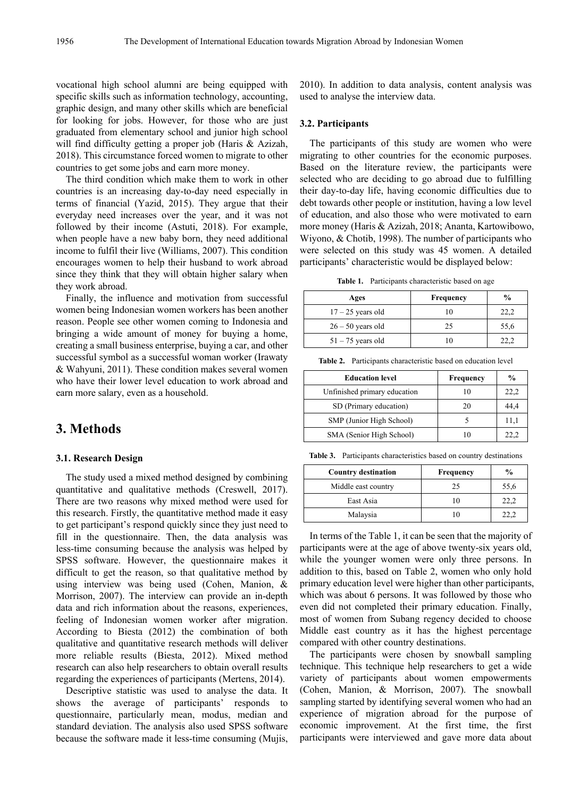vocational high school alumni are being equipped with specific skills such as information technology, accounting, graphic design, and many other skills which are beneficial for looking for jobs. However, for those who are just graduated from elementary school and junior high school will find difficulty getting a proper job (Haris & Azizah, 2018). This circumstance forced women to migrate to other countries to get some jobs and earn more money.

The third condition which make them to work in other countries is an increasing day-to-day need especially in terms of financial (Yazid, 2015). They argue that their everyday need increases over the year, and it was not followed by their income (Astuti, 2018). For example, when people have a new baby born, they need additional income to fulfil their live (Williams, 2007). This condition encourages women to help their husband to work abroad since they think that they will obtain higher salary when they work abroad.

Finally, the influence and motivation from successful women being Indonesian women workers has been another reason. People see other women coming to Indonesia and bringing a wide amount of money for buying a home, creating a small business enterprise, buying a car, and other successful symbol as a successful woman worker (Irawaty & Wahyuni, 2011). These condition makes several women who have their lower level education to work abroad and earn more salary, even as a household.

## **3. Methods**

#### **3.1. Research Design**

The study used a mixed method designed by combining quantitative and qualitative methods (Creswell, 2017). There are two reasons why mixed method were used for this research. Firstly, the quantitative method made it easy to get participant's respond quickly since they just need to fill in the questionnaire. Then, the data analysis was less-time consuming because the analysis was helped by SPSS software. However, the questionnaire makes it difficult to get the reason, so that qualitative method by using interview was being used (Cohen, Manion, & Morrison, 2007). The interview can provide an in-depth data and rich information about the reasons, experiences, feeling of Indonesian women worker after migration. According to Biesta (2012) the combination of both qualitative and quantitative research methods will deliver more reliable results (Biesta, 2012). Mixed method research can also help researchers to obtain overall results regarding the experiences of participants (Mertens, 2014).

Descriptive statistic was used to analyse the data. It shows the average of participants' responds to questionnaire, particularly mean, modus, median and standard deviation. The analysis also used SPSS software because the software made it less-time consuming (Mujis,

2010). In addition to data analysis, content analysis was used to analyse the interview data.

#### **3.2. Participants**

The participants of this study are women who were migrating to other countries for the economic purposes. Based on the literature review, the participants were selected who are deciding to go abroad due to fulfilling their day-to-day life, having economic difficulties due to debt towards other people or institution, having a low level of education, and also those who were motivated to earn more money (Haris & Azizah, 2018; Ananta, Kartowibowo, Wiyono, & Chotib, 1998). The number of participants who were selected on this study was 45 women. A detailed participants' characteristic would be displayed below:

**Table 1.** Participants characteristic based on age

| Ages                | Frequency | $\frac{6}{9}$ |
|---------------------|-----------|---------------|
| $17 - 25$ years old | 10        | 22,2          |
| $26 - 50$ years old | 25        | 55,6          |
| $51 - 75$ years old | 10        | 22,2          |

**Table 2.** Participants characteristic based on education level

| <b>Education level</b>       | <b>Frequency</b> | $\frac{0}{0}$ |
|------------------------------|------------------|---------------|
| Unfinished primary education | 10               | 22,2          |
| SD (Primary education)       | 20               | 44,4          |
| SMP (Junior High School)     |                  | 11,1          |
| SMA (Senior High School)     | 10               | 22.2          |

**Table 3.** Participants characteristics based on country destinations

| <b>Country destination</b> | <b>Frequency</b> | $\frac{0}{0}$ |
|----------------------------|------------------|---------------|
| Middle east country        | 25               | 55,6          |
| East Asia                  | 10               | 22.2          |
| Malaysia                   | 10               | 22.2          |

In terms of the Table 1, it can be seen that the majority of participants were at the age of above twenty-six years old, while the younger women were only three persons. In addition to this, based on Table 2, women who only hold primary education level were higher than other participants, which was about 6 persons. It was followed by those who even did not completed their primary education. Finally, most of women from Subang regency decided to choose Middle east country as it has the highest percentage compared with other country destinations.

The participants were chosen by snowball sampling technique. This technique help researchers to get a wide variety of participants about women empowerments (Cohen, Manion, & Morrison, 2007). The snowball sampling started by identifying several women who had an experience of migration abroad for the purpose of economic improvement. At the first time, the first participants were interviewed and gave more data about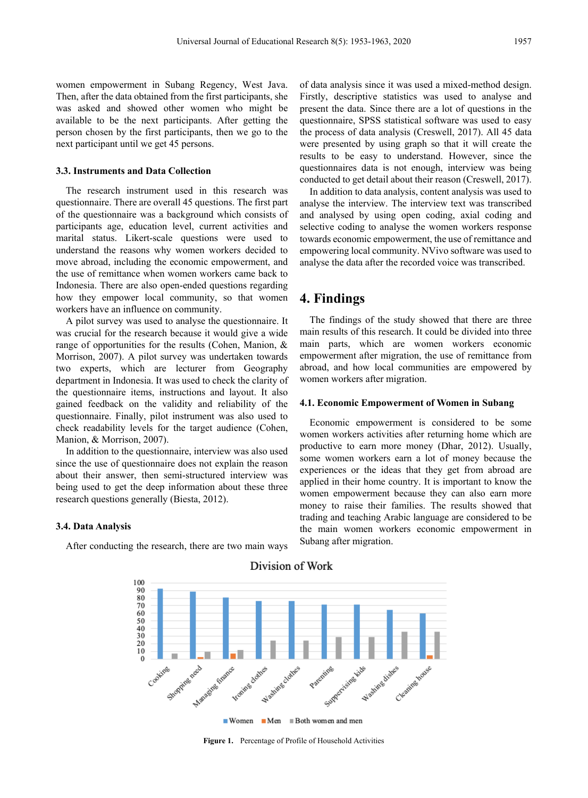women empowerment in Subang Regency, West Java. Then, after the data obtained from the first participants, she was asked and showed other women who might be available to be the next participants. After getting the person chosen by the first participants, then we go to the next participant until we get 45 persons.

#### **3.3. Instruments and Data Collection**

The research instrument used in this research was questionnaire. There are overall 45 questions. The first part of the questionnaire was a background which consists of participants age, education level, current activities and marital status. Likert-scale questions were used to understand the reasons why women workers decided to move abroad, including the economic empowerment, and the use of remittance when women workers came back to Indonesia. There are also open-ended questions regarding how they empower local community, so that women workers have an influence on community.

A pilot survey was used to analyse the questionnaire. It was crucial for the research because it would give a wide range of opportunities for the results (Cohen, Manion, & Morrison, 2007). A pilot survey was undertaken towards two experts, which are lecturer from Geography department in Indonesia. It was used to check the clarity of the questionnaire items, instructions and layout. It also gained feedback on the validity and reliability of the questionnaire. Finally, pilot instrument was also used to check readability levels for the target audience (Cohen, Manion, & Morrison, 2007).

In addition to the questionnaire, interview was also used since the use of questionnaire does not explain the reason about their answer, then semi-structured interview was being used to get the deep information about these three research questions generally (Biesta, 2012).

#### **3.4. Data Analysis**

After conducting the research, there are two main ways

of data analysis since it was used a mixed-method design. Firstly, descriptive statistics was used to analyse and present the data. Since there are a lot of questions in the questionnaire, SPSS statistical software was used to easy the process of data analysis (Creswell, 2017). All 45 data were presented by using graph so that it will create the results to be easy to understand. However, since the questionnaires data is not enough, interview was being conducted to get detail about their reason (Creswell, 2017).

In addition to data analysis, content analysis was used to analyse the interview. The interview text was transcribed and analysed by using open coding, axial coding and selective coding to analyse the women workers response towards economic empowerment, the use of remittance and empowering local community. NVivo software was used to analyse the data after the recorded voice was transcribed.

## **4. Findings**

The findings of the study showed that there are three main results of this research. It could be divided into three main parts, which are women workers economic empowerment after migration, the use of remittance from abroad, and how local communities are empowered by women workers after migration.

#### **4.1. Economic Empowerment of Women in Subang**

Economic empowerment is considered to be some women workers activities after returning home which are productive to earn more money (Dhar, 2012). Usually, some women workers earn a lot of money because the experiences or the ideas that they get from abroad are applied in their home country. It is important to know the women empowerment because they can also earn more money to raise their families. The results showed that trading and teaching Arabic language are considered to be the main women workers economic empowerment in Subang after migration.



#### Division of Work

**Figure 1.** Percentage of Profile of Household Activities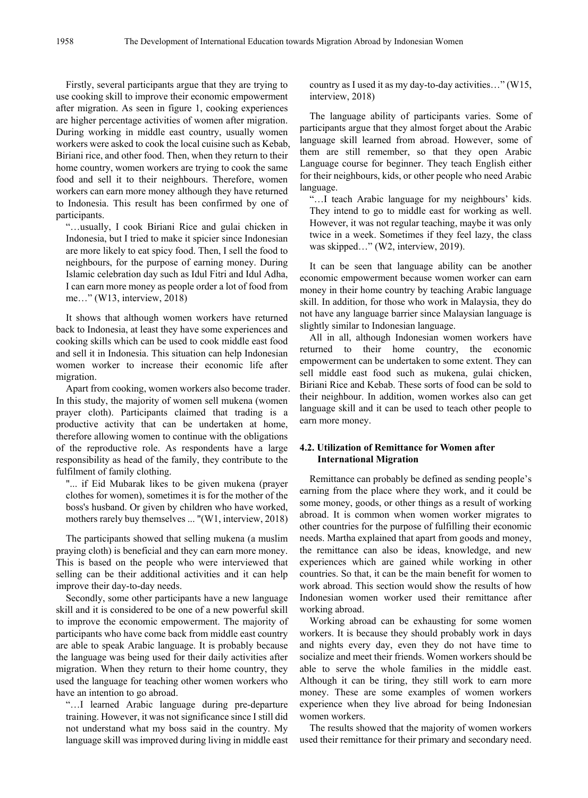Firstly, several participants argue that they are trying to use cooking skill to improve their economic empowerment after migration. As seen in figure 1, cooking experiences are higher percentage activities of women after migration. During working in middle east country, usually women workers were asked to cook the local cuisine such as Kebab, Biriani rice, and other food. Then, when they return to their home country, women workers are trying to cook the same food and sell it to their neighbours. Therefore, women workers can earn more money although they have returned to Indonesia. This result has been confirmed by one of participants.

"…usually, I cook Biriani Rice and gulai chicken in Indonesia, but I tried to make it spicier since Indonesian are more likely to eat spicy food. Then, I sell the food to neighbours, for the purpose of earning money. During Islamic celebration day such as Idul Fitri and Idul Adha, I can earn more money as people order a lot of food from me…" (W13, interview, 2018)

It shows that although women workers have returned back to Indonesia, at least they have some experiences and cooking skills which can be used to cook middle east food and sell it in Indonesia. This situation can help Indonesian women worker to increase their economic life after migration.

Apart from cooking, women workers also become trader. In this study, the majority of women sell mukena (women prayer cloth). Participants claimed that trading is a productive activity that can be undertaken at home, therefore allowing women to continue with the obligations of the reproductive role. As respondents have a large responsibility as head of the family, they contribute to the fulfilment of family clothing.

"... if Eid Mubarak likes to be given mukena (prayer clothes for women), sometimes it is for the mother of the boss's husband. Or given by children who have worked, mothers rarely buy themselves ... "(W1, interview, 2018)

The participants showed that selling mukena (a muslim praying cloth) is beneficial and they can earn more money. This is based on the people who were interviewed that selling can be their additional activities and it can help improve their day-to-day needs.

Secondly, some other participants have a new language skill and it is considered to be one of a new powerful skill to improve the economic empowerment. The majority of participants who have come back from middle east country are able to speak Arabic language. It is probably because the language was being used for their daily activities after migration. When they return to their home country, they used the language for teaching other women workers who have an intention to go abroad.

"…I learned Arabic language during pre-departure training. However, it was not significance since I still did not understand what my boss said in the country. My language skill was improved during living in middle east

country as I used it as my day-to-day activities…" (W15, interview, 2018)

The language ability of participants varies. Some of participants argue that they almost forget about the Arabic language skill learned from abroad. However, some of them are still remember, so that they open Arabic Language course for beginner. They teach English either for their neighbours, kids, or other people who need Arabic language.

"…I teach Arabic language for my neighbours' kids. They intend to go to middle east for working as well. However, it was not regular teaching, maybe it was only twice in a week. Sometimes if they feel lazy, the class was skipped..." (W2, interview, 2019).

It can be seen that language ability can be another economic empowerment because women worker can earn money in their home country by teaching Arabic language skill. In addition, for those who work in Malaysia, they do not have any language barrier since Malaysian language is slightly similar to Indonesian language.

All in all, although Indonesian women workers have returned to their home country, the economic empowerment can be undertaken to some extent. They can sell middle east food such as mukena, gulai chicken, Biriani Rice and Kebab. These sorts of food can be sold to their neighbour. In addition, women workes also can get language skill and it can be used to teach other people to earn more money.

#### **4.2. Utilization of Remittance for Women after International Migration**

Remittance can probably be defined as sending people's earning from the place where they work, and it could be some money, goods, or other things as a result of working abroad. It is common when women worker migrates to other countries for the purpose of fulfilling their economic needs. Martha explained that apart from goods and money, the remittance can also be ideas, knowledge, and new experiences which are gained while working in other countries. So that, it can be the main benefit for women to work abroad. This section would show the results of how Indonesian women worker used their remittance after working abroad.

Working abroad can be exhausting for some women workers. It is because they should probably work in days and nights every day, even they do not have time to socialize and meet their friends. Women workers should be able to serve the whole families in the middle east. Although it can be tiring, they still work to earn more money. These are some examples of women workers experience when they live abroad for being Indonesian women workers.

The results showed that the majority of women workers used their remittance for their primary and secondary need.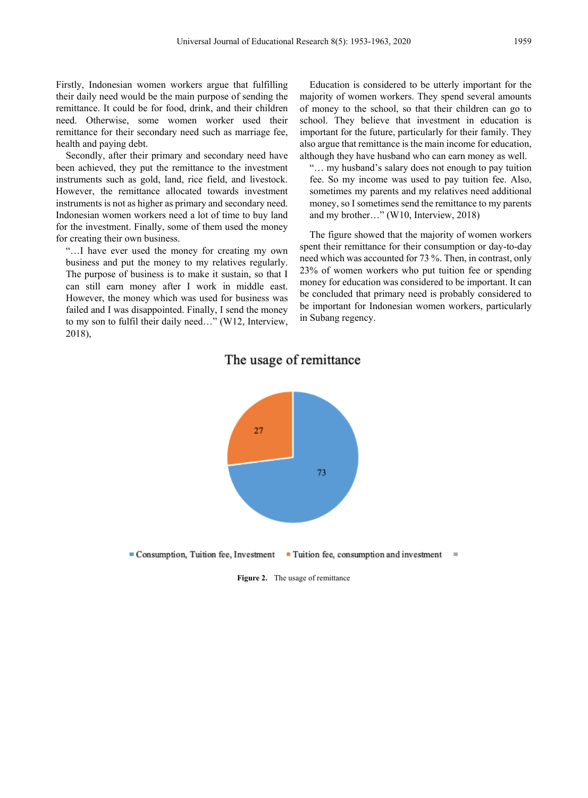Firstly, Indonesian women workers argue that fulfilling their daily need would be the main purpose of sending the remittance. It could be for food, drink, and their children need. Otherwise, some women worker used their remittance for their secondary need such as marriage fee, health and paying debt.

Secondly, after their primary and secondary need have been achieved, they put the remittance to the investment instruments such as gold, land, rice field, and livestock. However, the remittance allocated towards investment instruments is not as higher as primary and secondary need. Indonesian women workers need a lot of time to buy land for the investment. Finally, some of them used the money for creating their own business.

"…I have ever used the money for creating my own business and put the money to my relatives regularly. The purpose of business is to make it sustain, so that I can still earn money after I work in middle east. However, the money which was used for business was failed and I was disappointed. Finally, I send the money to my son to fulfil their daily need…" (W12, Interview, 2018),

Education is considered to be utterly important for the majority of women workers. They spend several amounts of money to the school, so that their children can go to school. They believe that investment in education is important for the future, particularly for their family. They also argue that remittance is the main income for education, although they have husband who can earn money as well.

"… my husband's salary does not enough to pay tuition fee. So my income was used to pay tuition fee. Also, sometimes my parents and my relatives need additional money, so I sometimes send the remittance to my parents and my brother…" (W10, Interview, 2018)

The figure showed that the majority of women workers spent their remittance for their consumption or day-to-day need which was accounted for 73 %. Then, in contrast, only 23% of women workers who put tuition fee or spending money for education was considered to be important. It can be concluded that primary need is probably considered to be important for Indonesian women workers, particularly in Subang regency.

# 27 73 Consumption, Tuition fee, Investment

## The usage of remittance

**Figure 2.** The usage of remittance

■ Tuition fee, consumption and investment

 $\blacksquare$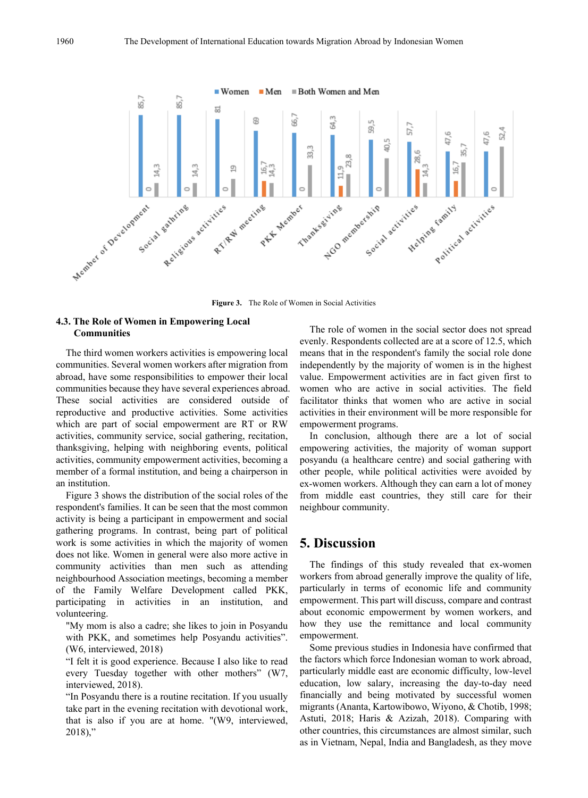

**Figure 3.** The Role of Women in Social Activities

#### **4.3. The Role of Women in Empowering Local Communities**

The third women workers activities is empowering local communities. Several women workers after migration from abroad, have some responsibilities to empower their local communities because they have several experiences abroad. These social activities are considered outside of reproductive and productive activities. Some activities which are part of social empowerment are RT or RW activities, community service, social gathering, recitation, thanksgiving, helping with neighboring events, political activities, community empowerment activities, becoming a member of a formal institution, and being a chairperson in an institution.

Figure 3 shows the distribution of the social roles of the respondent's families. It can be seen that the most common activity is being a participant in empowerment and social gathering programs. In contrast, being part of political work is some activities in which the majority of women does not like. Women in general were also more active in community activities than men such as attending neighbourhood Association meetings, becoming a member of the Family Welfare Development called PKK, participating in activities in an institution, and volunteering.

"My mom is also a cadre; she likes to join in Posyandu with PKK, and sometimes help Posyandu activities". (W6, interviewed, 2018)

"I felt it is good experience. Because I also like to read every Tuesday together with other mothers" (W7, interviewed, 2018).

"In Posyandu there is a routine recitation. If you usually take part in the evening recitation with devotional work, that is also if you are at home. "(W9, interviewed,  $2018$ ),"

The role of women in the social sector does not spread evenly. Respondents collected are at a score of 12.5, which means that in the respondent's family the social role done independently by the majority of women is in the highest value. Empowerment activities are in fact given first to women who are active in social activities. The field facilitator thinks that women who are active in social activities in their environment will be more responsible for empowerment programs.

In conclusion, although there are a lot of social empowering activities, the majority of woman support posyandu (a healthcare centre) and social gathering with other people, while political activities were avoided by ex-women workers. Although they can earn a lot of money from middle east countries, they still care for their neighbour community.

## **5. Discussion**

The findings of this study revealed that ex-women workers from abroad generally improve the quality of life, particularly in terms of economic life and community empowerment. This part will discuss, compare and contrast about economic empowerment by women workers, and how they use the remittance and local community empowerment.

Some previous studies in Indonesia have confirmed that the factors which force Indonesian woman to work abroad, particularly middle east are economic difficulty, low-level education, low salary, increasing the day-to-day need financially and being motivated by successful women migrants (Ananta, Kartowibowo, Wiyono, & Chotib, 1998; Astuti, 2018; Haris & Azizah, 2018). Comparing with other countries, this circumstances are almost similar, such as in Vietnam, Nepal, India and Bangladesh, as they move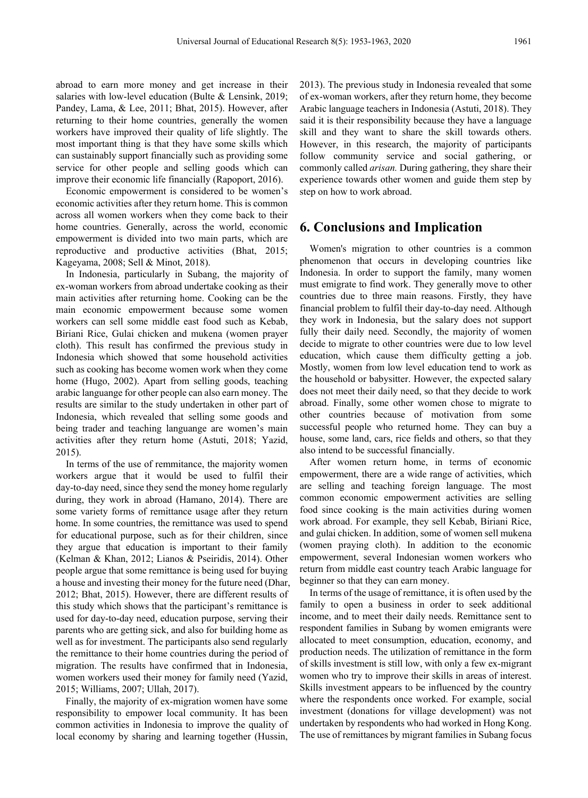abroad to earn more money and get increase in their salaries with low-level education (Bulte & Lensink, 2019; Pandey, Lama, & Lee, 2011; Bhat, 2015). However, after returning to their home countries, generally the women workers have improved their quality of life slightly. The most important thing is that they have some skills which can sustainably support financially such as providing some service for other people and selling goods which can improve their economic life financially (Rapoport, 2016).

Economic empowerment is considered to be women's economic activities after they return home. This is common across all women workers when they come back to their home countries. Generally, across the world, economic empowerment is divided into two main parts, which are reproductive and productive activities (Bhat, 2015; Kageyama, 2008; Sell & Minot, 2018).

In Indonesia, particularly in Subang, the majority of ex-woman workers from abroad undertake cooking as their main activities after returning home. Cooking can be the main economic empowerment because some women workers can sell some middle east food such as Kebab, Biriani Rice, Gulai chicken and mukena (women prayer cloth). This result has confirmed the previous study in Indonesia which showed that some household activities such as cooking has become women work when they come home (Hugo, 2002). Apart from selling goods, teaching arabic languange for other people can also earn money. The results are similar to the study undertaken in other part of Indonesia, which revealed that selling some goods and being trader and teaching languange are women's main activities after they return home (Astuti, 2018; Yazid, 2015).

In terms of the use of remmitance, the majority women workers argue that it would be used to fulfil their day-to-day need, since they send the money home regularly during, they work in abroad (Hamano, 2014). There are some variety forms of remittance usage after they return home. In some countries, the remittance was used to spend for educational purpose, such as for their children, since they argue that education is important to their family (Kelman & Khan, 2012; Lianos & Pseiridis, 2014). Other people argue that some remittance is being used for buying a house and investing their money for the future need (Dhar, 2012; Bhat, 2015). However, there are different results of this study which shows that the participant's remittance is used for day-to-day need, education purpose, serving their parents who are getting sick, and also for building home as well as for investment. The participants also send regularly the remittance to their home countries during the period of migration. The results have confirmed that in Indonesia, women workers used their money for family need (Yazid, 2015; Williams, 2007; Ullah, 2017).

Finally, the majority of ex-migration women have some responsibility to empower local community. It has been common activities in Indonesia to improve the quality of local economy by sharing and learning together (Hussin,

2013). The previous study in Indonesia revealed that some of ex-woman workers, after they return home, they become Arabic language teachers in Indonesia (Astuti, 2018). They said it is their responsibility because they have a language skill and they want to share the skill towards others. However, in this research, the majority of participants follow community service and social gathering, or commonly called *arisan.* During gathering, they share their experience towards other women and guide them step by step on how to work abroad.

## **6. Conclusions and Implication**

Women's migration to other countries is a common phenomenon that occurs in developing countries like Indonesia. In order to support the family, many women must emigrate to find work. They generally move to other countries due to three main reasons. Firstly, they have financial problem to fulfil their day-to-day need. Although they work in Indonesia, but the salary does not support fully their daily need. Secondly, the majority of women decide to migrate to other countries were due to low level education, which cause them difficulty getting a job. Mostly, women from low level education tend to work as the household or babysitter. However, the expected salary does not meet their daily need, so that they decide to work abroad. Finally, some other women chose to migrate to other countries because of motivation from some successful people who returned home. They can buy a house, some land, cars, rice fields and others, so that they also intend to be successful financially.

After women return home, in terms of economic empowerment, there are a wide range of activities, which are selling and teaching foreign language. The most common economic empowerment activities are selling food since cooking is the main activities during women work abroad. For example, they sell Kebab, Biriani Rice, and gulai chicken. In addition, some of women sell mukena (women praying cloth). In addition to the economic empowerment, several Indonesian women workers who return from middle east country teach Arabic language for beginner so that they can earn money.

In terms of the usage of remittance, it is often used by the family to open a business in order to seek additional income, and to meet their daily needs. Remittance sent to respondent families in Subang by women emigrants were allocated to meet consumption, education, economy, and production needs. The utilization of remittance in the form of skills investment is still low, with only a few ex-migrant women who try to improve their skills in areas of interest. Skills investment appears to be influenced by the country where the respondents once worked. For example, social investment (donations for village development) was not undertaken by respondents who had worked in Hong Kong. The use of remittances by migrant families in Subang focus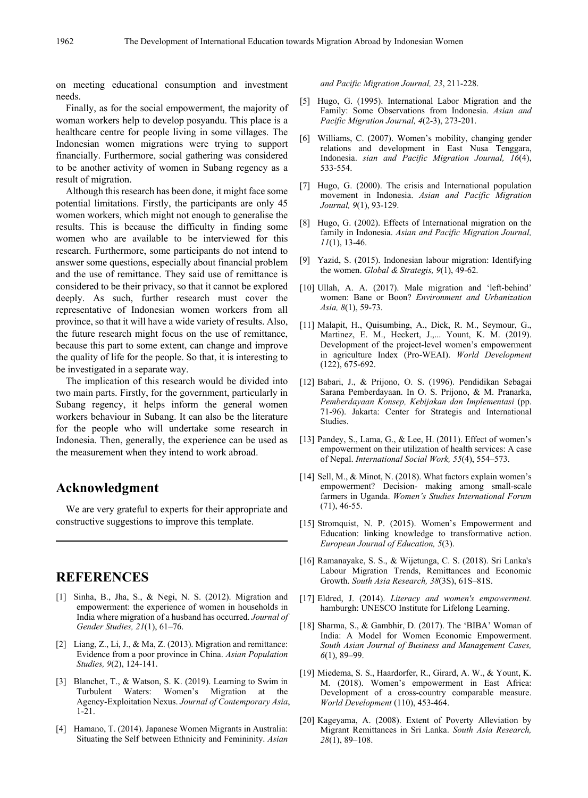on meeting educational consumption and investment needs.

Finally, as for the social empowerment, the majority of woman workers help to develop posyandu. This place is a healthcare centre for people living in some villages. The Indonesian women migrations were trying to support financially. Furthermore, social gathering was considered to be another activity of women in Subang regency as a result of migration.

Although this research has been done, it might face some potential limitations. Firstly, the participants are only 45 women workers, which might not enough to generalise the results. This is because the difficulty in finding some women who are available to be interviewed for this research. Furthermore, some participants do not intend to answer some questions, especially about financial problem and the use of remittance. They said use of remittance is considered to be their privacy, so that it cannot be explored deeply. As such, further research must cover the representative of Indonesian women workers from all province, so that it will have a wide variety of results. Also, the future research might focus on the use of remittance, because this part to some extent, can change and improve the quality of life for the people. So that, it is interesting to be investigated in a separate way.

The implication of this research would be divided into two main parts. Firstly, for the government, particularly in Subang regency, it helps inform the general women workers behaviour in Subang. It can also be the literature for the people who will undertake some research in Indonesia. Then, generally, the experience can be used as the measurement when they intend to work abroad.

## **Acknowledgment**

We are very grateful to experts for their appropriate and constructive suggestions to improve this template.

## **REFERENCES**

- [1] Sinha, B., Jha, S., & Negi, N. S. (2012). Migration and empowerment: the experience of women in households in India where migration of a husband has occurred. *Journal of Gender Studies, 21*(1), 61–76.
- [2] Liang, Z., Li, J., & Ma, Z. (2013). Migration and remittance: Evidence from a poor province in China. *Asian Population Studies, 9*(2), 124-141.
- [3] Blanchet, T., & Watson, S. K. (2019). Learning to Swim in Turbulent Waters: Women's Migration at the Agency-Exploitation Nexus. *Journal of Contemporary Asia*, 1-21.
- [4] Hamano, T. (2014). Japanese Women Migrants in Australia: Situating the Self between Ethnicity and Femininity. *Asian*

*and Pacific Migration Journal, 23*, 211-228.

- [5] Hugo, G. (1995). International Labor Migration and the Family: Some Observations from Indonesia. *Asian and Pacific Migration Journal, 4*(2-3), 273-201.
- [6] Williams, C. (2007). Women's mobility, changing gender relations and development in East Nusa Tenggara, Indonesia. *sian and Pacific Migration Journal, 16*(4), 533-554.
- [7] Hugo, G. (2000). The crisis and International population movement in Indonesia. *Asian and Pacific Migration Journal, 9*(1), 93-129.
- [8] Hugo, G. (2002). Effects of International migration on the family in Indonesia. *Asian and Pacific Migration Journal, 11*(1), 13-46.
- [9] Yazid, S. (2015). Indonesian labour migration: Identifying the women. *Global & Strategis, 9*(1), 49-62.
- [10] Ullah, A. A. (2017). Male migration and 'left-behind' women: Bane or Boon? *Environment and Urbanization Asia, 8*(1), 59-73.
- [11] Malapit, H., Quisumbing, A., Dick, R. M., Seymour, G., Martinez, E. M., Heckert, J.,... Yount, K. M. (2019). Development of the project-level women's empowerment in agriculture Index (Pro-WEAI). *World Development* (122), 675-692.
- [12] Babari, J., & Prijono, O. S. (1996). Pendidikan Sebagai Sarana Pemberdayaan. In O. S. Prijono, & M. Pranarka, *Pemberdayaan Konsep, Kebijakan dan Implementasi* (pp. 71-96). Jakarta: Center for Strategis and International Studies.
- [13] Pandey, S., Lama, G., & Lee, H. (2011). Effect of women's empowerment on their utilization of health services: A case of Nepal. *International Social Work, 55*(4), 554–573.
- [14] Sell, M., & Minot, N. (2018). What factors explain women's empowerment? Decision- making among small-scale farmers in Uganda. *Women's Studies International Forum* (71), 46-55.
- [15] Stromquist, N. P. (2015). Women's Empowerment and Education: linking knowledge to transformative action. *European Journal of Education, 5*(3).
- [16] Ramanayake, S. S., & Wijetunga, C. S. (2018). Sri Lanka's Labour Migration Trends, Remittances and Economic Growth. *South Asia Research, 38*(3S), 61S–81S.
- [17] Eldred, J. (2014). *Literacy and women's empowerment.* hamburgh: UNESCO Institute for Lifelong Learning.
- [18] Sharma, S., & Gambhir, D. (2017). The 'BIBA' Woman of India: A Model for Women Economic Empowerment. *South Asian Journal of Business and Management Cases, 6*(1), 89–99.
- [19] Miedema, S. S., Haardorfer, R., Girard, A. W., & Yount, K. M. (2018). Women's empowerment in East Africa: Development of a cross-country comparable measure. *World Development* (110), 453-464.
- [20] Kageyama, A. (2008). Extent of Poverty Alleviation by Migrant Remittances in Sri Lanka. *South Asia Research, 28*(1), 89–108.